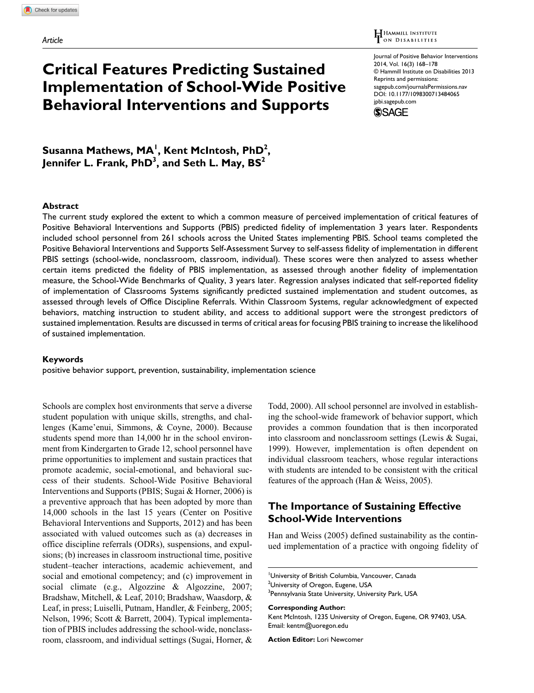# **Critical Features Predicting Sustained Implementation of School-Wide Positive Behavioral Interventions and Supports**

Journal of Positive Behavior Interventions 2014, Vol. 16(3) 168–178 © Hammill Institute on Disabilities 2013 Reprints and permissions: sagepub.com/journalsPermissions.nav DOI: 10.1177/1098300713484065 jpbi.sagepub.com

**SSAGE** 

 $\boldsymbol{\mathsf{S}}$ usanna Mathews, MA<sup>I</sup>, Kent McIntosh, PhD<sup>2</sup>, Jennifer L. Frank, PhD<sup>3</sup>, and Seth L. May, BS<sup>2</sup>

#### **Abstract**

The current study explored the extent to which a common measure of perceived implementation of critical features of Positive Behavioral Interventions and Supports (PBIS) predicted fidelity of implementation 3 years later. Respondents included school personnel from 261 schools across the United States implementing PBIS. School teams completed the Positive Behavioral Interventions and Supports Self-Assessment Survey to self-assess fidelity of implementation in different PBIS settings (school-wide, nonclassroom, classroom, individual). These scores were then analyzed to assess whether certain items predicted the fidelity of PBIS implementation, as assessed through another fidelity of implementation measure, the School-Wide Benchmarks of Quality, 3 years later. Regression analyses indicated that self-reported fidelity of implementation of Classrooms Systems significantly predicted sustained implementation and student outcomes, as assessed through levels of Office Discipline Referrals. Within Classroom Systems, regular acknowledgment of expected behaviors, matching instruction to student ability, and access to additional support were the strongest predictors of sustained implementation. Results are discussed in terms of critical areas for focusing PBIS training to increase the likelihood of sustained implementation.

#### **Keywords**

positive behavior support, prevention, sustainability, implementation science

Schools are complex host environments that serve a diverse student population with unique skills, strengths, and challenges (Kame'enui, Simmons, & Coyne, 2000). Because students spend more than 14,000 hr in the school environment from Kindergarten to Grade 12, school personnel have prime opportunities to implement and sustain practices that promote academic, social-emotional, and behavioral success of their students. School-Wide Positive Behavioral Interventions and Supports (PBIS; Sugai & Horner, 2006) is a preventive approach that has been adopted by more than 14,000 schools in the last 15 years (Center on Positive Behavioral Interventions and Supports, 2012) and has been associated with valued outcomes such as (a) decreases in office discipline referrals (ODRs), suspensions, and expulsions; (b) increases in classroom instructional time, positive student–teacher interactions, academic achievement, and social and emotional competency; and (c) improvement in social climate (e.g., Algozzine & Algozzine, 2007; Bradshaw, Mitchell, & Leaf, 2010; Bradshaw, Waasdorp, & Leaf, in press; Luiselli, Putnam, Handler, & Feinberg, 2005; Nelson, 1996; Scott & Barrett, 2004). Typical implementation of PBIS includes addressing the school-wide, nonclassroom, classroom, and individual settings (Sugai, Horner, & Todd, 2000). All school personnel are involved in establishing the school-wide framework of behavior support, which provides a common foundation that is then incorporated into classroom and nonclassroom settings (Lewis & Sugai, 1999). However, implementation is often dependent on individual classroom teachers, whose regular interactions with students are intended to be consistent with the critical features of the approach (Han & Weiss, 2005).

## **The Importance of Sustaining Effective School-Wide Interventions**

Han and Weiss (2005) defined sustainability as the continued implementation of a practice with ongoing fidelity of

**Corresponding Author:**

Kent McIntosh, 1235 University of Oregon, Eugene, OR 97403, USA. Email: kentm@uoregon.edu

**Action Editor:** Lori Newcomer

University of British Columbia, Vancouver, Canada <sup>2</sup>University of Oregon, Eugene, USA

<sup>&</sup>lt;sup>3</sup>Pennsylvania State University, University Park, USA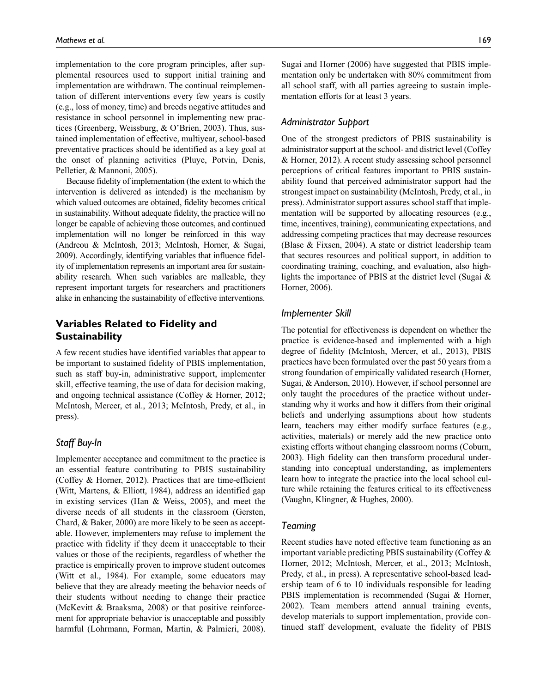implementation to the core program principles, after supplemental resources used to support initial training and implementation are withdrawn. The continual reimplementation of different interventions every few years is costly (e.g., loss of money, time) and breeds negative attitudes and resistance in school personnel in implementing new practices (Greenberg, Weissburg, & O'Brien, 2003). Thus, sustained implementation of effective, multiyear, school-based preventative practices should be identified as a key goal at the onset of planning activities (Pluye, Potvin, Denis, Pelletier, & Mannoni, 2005).

Because fidelity of implementation (the extent to which the intervention is delivered as intended) is the mechanism by which valued outcomes are obtained, fidelity becomes critical in sustainability. Without adequate fidelity, the practice will no longer be capable of achieving those outcomes, and continued implementation will no longer be reinforced in this way (Andreou & McIntosh, 2013; McIntosh, Horner, & Sugai, 2009). Accordingly, identifying variables that influence fidelity of implementation represents an important area for sustainability research. When such variables are malleable, they represent important targets for researchers and practitioners alike in enhancing the sustainability of effective interventions.

# **Variables Related to Fidelity and Sustainability**

A few recent studies have identified variables that appear to be important to sustained fidelity of PBIS implementation, such as staff buy-in, administrative support, implementer skill, effective teaming, the use of data for decision making, and ongoing technical assistance (Coffey & Horner, 2012; McIntosh, Mercer, et al., 2013; McIntosh, Predy, et al., in press).

## *Staff Buy-In*

Implementer acceptance and commitment to the practice is an essential feature contributing to PBIS sustainability (Coffey & Horner, 2012). Practices that are time-efficient (Witt, Martens, & Elliott, 1984), address an identified gap in existing services (Han & Weiss, 2005), and meet the diverse needs of all students in the classroom (Gersten, Chard, & Baker, 2000) are more likely to be seen as acceptable. However, implementers may refuse to implement the practice with fidelity if they deem it unacceptable to their values or those of the recipients, regardless of whether the practice is empirically proven to improve student outcomes (Witt et al., 1984). For example, some educators may believe that they are already meeting the behavior needs of their students without needing to change their practice (McKevitt & Braaksma, 2008) or that positive reinforcement for appropriate behavior is unacceptable and possibly harmful (Lohrmann, Forman, Martin, & Palmieri, 2008).

Sugai and Horner (2006) have suggested that PBIS implementation only be undertaken with 80% commitment from all school staff, with all parties agreeing to sustain implementation efforts for at least 3 years.

#### *Administrator Support*

One of the strongest predictors of PBIS sustainability is administrator support at the school- and district level (Coffey & Horner, 2012). A recent study assessing school personnel perceptions of critical features important to PBIS sustainability found that perceived administrator support had the strongest impact on sustainability (McIntosh, Predy, et al., in press). Administrator support assures school staff that implementation will be supported by allocating resources (e.g., time, incentives, training), communicating expectations, and addressing competing practices that may decrease resources (Blase & Fixsen, 2004). A state or district leadership team that secures resources and political support, in addition to coordinating training, coaching, and evaluation, also highlights the importance of PBIS at the district level (Sugai & Horner, 2006).

#### *Implementer Skill*

The potential for effectiveness is dependent on whether the practice is evidence-based and implemented with a high degree of fidelity (McIntosh, Mercer, et al., 2013), PBIS practices have been formulated over the past 50 years from a strong foundation of empirically validated research (Horner, Sugai, & Anderson, 2010). However, if school personnel are only taught the procedures of the practice without understanding why it works and how it differs from their original beliefs and underlying assumptions about how students learn, teachers may either modify surface features (e.g., activities, materials) or merely add the new practice onto existing efforts without changing classroom norms (Coburn, 2003). High fidelity can then transform procedural understanding into conceptual understanding, as implementers learn how to integrate the practice into the local school culture while retaining the features critical to its effectiveness (Vaughn, Klingner, & Hughes, 2000).

#### *Teaming*

Recent studies have noted effective team functioning as an important variable predicting PBIS sustainability (Coffey & Horner, 2012; McIntosh, Mercer, et al., 2013; McIntosh, Predy, et al., in press). A representative school-based leadership team of 6 to 10 individuals responsible for leading PBIS implementation is recommended (Sugai & Horner, 2002). Team members attend annual training events, develop materials to support implementation, provide continued staff development, evaluate the fidelity of PBIS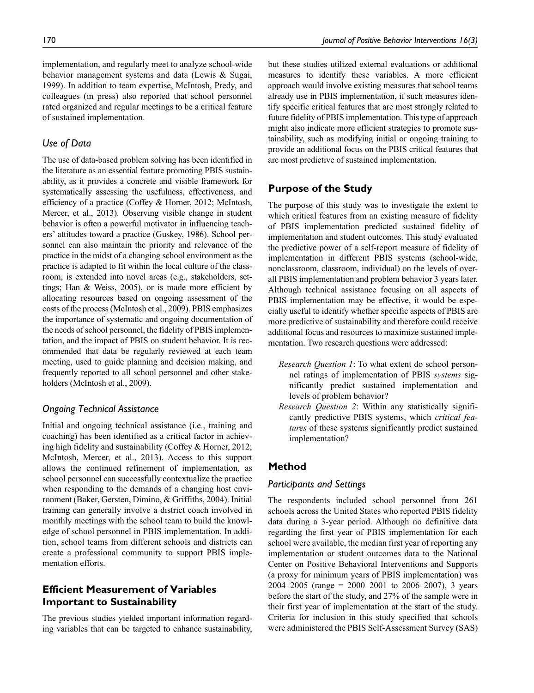implementation, and regularly meet to analyze school-wide behavior management systems and data (Lewis & Sugai, 1999). In addition to team expertise, McIntosh, Predy, and colleagues (in press) also reported that school personnel rated organized and regular meetings to be a critical feature of sustained implementation.

## *Use of Data*

The use of data-based problem solving has been identified in the literature as an essential feature promoting PBIS sustainability, as it provides a concrete and visible framework for systematically assessing the usefulness, effectiveness, and efficiency of a practice (Coffey & Horner, 2012; McIntosh, Mercer, et al., 2013). Observing visible change in student behavior is often a powerful motivator in influencing teachers' attitudes toward a practice (Guskey, 1986). School personnel can also maintain the priority and relevance of the practice in the midst of a changing school environment as the practice is adapted to fit within the local culture of the classroom, is extended into novel areas (e.g., stakeholders, settings; Han & Weiss, 2005), or is made more efficient by allocating resources based on ongoing assessment of the costs of the process (McIntosh et al., 2009). PBIS emphasizes the importance of systematic and ongoing documentation of the needs of school personnel, the fidelity of PBIS implementation, and the impact of PBIS on student behavior. It is recommended that data be regularly reviewed at each team meeting, used to guide planning and decision making, and frequently reported to all school personnel and other stakeholders (McIntosh et al., 2009).

## *Ongoing Technical Assistance*

Initial and ongoing technical assistance (i.e., training and coaching) has been identified as a critical factor in achieving high fidelity and sustainability (Coffey & Horner, 2012; McIntosh, Mercer, et al., 2013). Access to this support allows the continued refinement of implementation, as school personnel can successfully contextualize the practice when responding to the demands of a changing host environment (Baker, Gersten, Dimino, & Griffiths, 2004). Initial training can generally involve a district coach involved in monthly meetings with the school team to build the knowledge of school personnel in PBIS implementation. In addition, school teams from different schools and districts can create a professional community to support PBIS implementation efforts.

# **Efficient Measurement of Variables Important to Sustainability**

The previous studies yielded important information regarding variables that can be targeted to enhance sustainability, but these studies utilized external evaluations or additional measures to identify these variables. A more efficient approach would involve existing measures that school teams already use in PBIS implementation, if such measures identify specific critical features that are most strongly related to future fidelity of PBIS implementation. This type of approach might also indicate more efficient strategies to promote sustainability, such as modifying initial or ongoing training to provide an additional focus on the PBIS critical features that are most predictive of sustained implementation.

## **Purpose of the Study**

The purpose of this study was to investigate the extent to which critical features from an existing measure of fidelity of PBIS implementation predicted sustained fidelity of implementation and student outcomes. This study evaluated the predictive power of a self-report measure of fidelity of implementation in different PBIS systems (school-wide, nonclassroom, classroom, individual) on the levels of overall PBIS implementation and problem behavior 3 years later. Although technical assistance focusing on all aspects of PBIS implementation may be effective, it would be especially useful to identify whether specific aspects of PBIS are more predictive of sustainability and therefore could receive additional focus and resources to maximize sustained implementation. Two research questions were addressed:

- *Research Question 1*: To what extent do school personnel ratings of implementation of PBIS *systems* significantly predict sustained implementation and levels of problem behavior?
- *Research Question 2*: Within any statistically significantly predictive PBIS systems, which *critical features* of these systems significantly predict sustained implementation?

## **Method**

#### *Participants and Settings*

The respondents included school personnel from 261 schools across the United States who reported PBIS fidelity data during a 3-year period. Although no definitive data regarding the first year of PBIS implementation for each school were available, the median first year of reporting any implementation or student outcomes data to the National Center on Positive Behavioral Interventions and Supports (a proxy for minimum years of PBIS implementation) was 2004–2005 (range = 2000–2001 to 2006–2007), 3 years before the start of the study, and 27% of the sample were in their first year of implementation at the start of the study. Criteria for inclusion in this study specified that schools were administered the PBIS Self-Assessment Survey (SAS)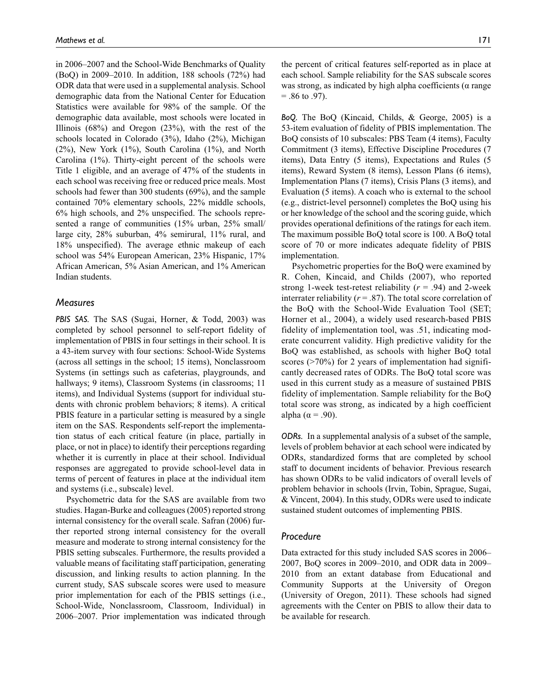in 2006–2007 and the School-Wide Benchmarks of Quality (BoQ) in 2009–2010. In addition, 188 schools (72%) had ODR data that were used in a supplemental analysis. School demographic data from the National Center for Education Statistics were available for 98% of the sample. Of the demographic data available, most schools were located in Illinois (68%) and Oregon (23%), with the rest of the schools located in Colorado (3%), Idaho (2%), Michigan (2%), New York (1%), South Carolina (1%), and North Carolina (1%). Thirty-eight percent of the schools were Title 1 eligible, and an average of 47% of the students in each school was receiving free or reduced price meals. Most schools had fewer than 300 students (69%), and the sample contained 70% elementary schools, 22% middle schools, 6% high schools, and 2% unspecified. The schools represented a range of communities (15% urban, 25% small/ large city, 28% suburban, 4% semirural, 11% rural, and 18% unspecified). The average ethnic makeup of each school was 54% European American, 23% Hispanic, 17% African American, 5% Asian American, and 1% American Indian students.

#### *Measures*

*PBIS SAS.* The SAS (Sugai, Horner, & Todd, 2003) was completed by school personnel to self-report fidelity of implementation of PBIS in four settings in their school. It is a 43-item survey with four sections: School-Wide Systems (across all settings in the school; 15 items), Nonclassroom Systems (in settings such as cafeterias, playgrounds, and hallways; 9 items), Classroom Systems (in classrooms; 11 items), and Individual Systems (support for individual students with chronic problem behaviors; 8 items). A critical PBIS feature in a particular setting is measured by a single item on the SAS. Respondents self-report the implementation status of each critical feature (in place, partially in place, or not in place) to identify their perceptions regarding whether it is currently in place at their school. Individual responses are aggregated to provide school-level data in terms of percent of features in place at the individual item and systems (i.e., subscale) level.

Psychometric data for the SAS are available from two studies. Hagan-Burke and colleagues (2005) reported strong internal consistency for the overall scale. Safran (2006) further reported strong internal consistency for the overall measure and moderate to strong internal consistency for the PBIS setting subscales. Furthermore, the results provided a valuable means of facilitating staff participation, generating discussion, and linking results to action planning. In the current study, SAS subscale scores were used to measure prior implementation for each of the PBIS settings (i.e., School-Wide, Nonclassroom, Classroom, Individual) in 2006–2007. Prior implementation was indicated through

the percent of critical features self-reported as in place at each school. Sample reliability for the SAS subscale scores was strong, as indicated by high alpha coefficients ( $\alpha$  range  $= .86$  to .97).

*BoQ.* The BoQ (Kincaid, Childs, & George, 2005) is a 53-item evaluation of fidelity of PBIS implementation. The BoQ consists of 10 subscales: PBS Team (4 items), Faculty Commitment (3 items), Effective Discipline Procedures (7 items), Data Entry (5 items), Expectations and Rules (5 items), Reward System (8 items), Lesson Plans (6 items), Implementation Plans (7 items), Crisis Plans (3 items), and Evaluation (5 items). A coach who is external to the school (e.g., district-level personnel) completes the BoQ using his or her knowledge of the school and the scoring guide, which provides operational definitions of the ratings for each item. The maximum possible BoQ total score is 100. A BoQ total score of 70 or more indicates adequate fidelity of PBIS implementation.

Psychometric properties for the BoQ were examined by R. Cohen, Kincaid, and Childs (2007), who reported strong 1-week test-retest reliability  $(r = .94)$  and 2-week interrater reliability ( $r = .87$ ). The total score correlation of the BoQ with the School-Wide Evaluation Tool (SET; Horner et al., 2004), a widely used research-based PBIS fidelity of implementation tool, was .51, indicating moderate concurrent validity. High predictive validity for the BoQ was established, as schools with higher BoQ total scores (>70%) for 2 years of implementation had significantly decreased rates of ODRs. The BoQ total score was used in this current study as a measure of sustained PBIS fidelity of implementation. Sample reliability for the BoQ total score was strong, as indicated by a high coefficient alpha ( $\alpha$  = .90).

*ODRs.* In a supplemental analysis of a subset of the sample, levels of problem behavior at each school were indicated by ODRs, standardized forms that are completed by school staff to document incidents of behavior. Previous research has shown ODRs to be valid indicators of overall levels of problem behavior in schools (Irvin, Tobin, Sprague, Sugai, & Vincent, 2004). In this study, ODRs were used to indicate sustained student outcomes of implementing PBIS.

#### *Procedure*

Data extracted for this study included SAS scores in 2006– 2007, BoQ scores in 2009–2010, and ODR data in 2009– 2010 from an extant database from Educational and Community Supports at the University of Oregon (University of Oregon, 2011). These schools had signed agreements with the Center on PBIS to allow their data to be available for research.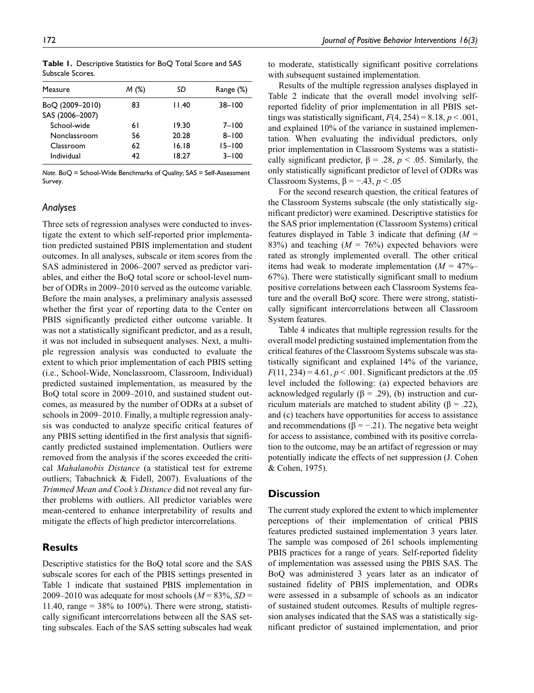| Measure         | M (%) | SD    | Range (%)  |
|-----------------|-------|-------|------------|
| BoQ (2009-2010) | 83    | 11.40 | $38 - 100$ |
| SAS (2006-2007) |       |       |            |
| School-wide     | 61    | 19.30 | $7 - 100$  |
| Nonclassroom    | 56    | 20.28 | $8 - 100$  |
| Classroom       | 62    | 16.18 | $15 - 100$ |
| Individual      | 42    | 18.27 | $3 - 100$  |

**Table 1.** Descriptive Statistics for BoQ Total Score and SAS Subscale Scores.

*Note.* BoQ = School-Wide Benchmarks of Quality; SAS = Self-Assessment Survey.

#### *Analyses*

Three sets of regression analyses were conducted to investigate the extent to which self-reported prior implementation predicted sustained PBIS implementation and student outcomes. In all analyses, subscale or item scores from the SAS administered in 2006–2007 served as predictor variables, and either the BoQ total score or school-level number of ODRs in 2009–2010 served as the outcome variable. Before the main analyses, a preliminary analysis assessed whether the first year of reporting data to the Center on PBIS significantly predicted either outcome variable. It was not a statistically significant predictor, and as a result, it was not included in subsequent analyses. Next, a multiple regression analysis was conducted to evaluate the extent to which prior implementation of each PBIS setting (i.e., School-Wide, Nonclassroom, Classroom, Individual) predicted sustained implementation, as measured by the BoQ total score in 2009–2010, and sustained student outcomes, as measured by the number of ODRs at a subset of schools in 2009–2010. Finally, a multiple regression analysis was conducted to analyze specific critical features of any PBIS setting identified in the first analysis that significantly predicted sustained implementation. Outliers were removed from the analysis if the scores exceeded the critical *Mahalanobis Distance* (a statistical test for extreme outliers; Tabachnick & Fidell, 2007). Evaluations of the *Trimmed Mean and Cook's Distance* did not reveal any further problems with outliers. All predictor variables were mean-centered to enhance interpretability of results and mitigate the effects of high predictor intercorrelations.

## **Results**

Descriptive statistics for the BoQ total score and the SAS subscale scores for each of the PBIS settings presented in Table 1 indicate that sustained PBIS implementation in 2009–2010 was adequate for most schools  $(M = 83\%, SD =$ 11.40, range  $= 38\%$  to 100%). There were strong, statistically significant intercorrelations between all the SAS setting subscales. Each of the SAS setting subscales had weak to moderate, statistically significant positive correlations with subsequent sustained implementation.

Results of the multiple regression analyses displayed in Table 2 indicate that the overall model involving selfreported fidelity of prior implementation in all PBIS settings was statistically significant,  $F(4, 254) = 8.18$ ,  $p < .001$ , and explained 10% of the variance in sustained implementation. When evaluating the individual predictors, only prior implementation in Classroom Systems was a statistically significant predictor,  $\beta = .28$ ,  $p < .05$ . Similarly, the only statistically significant predictor of level of ODRs was Classroom Systems,  $\beta = -.43$ ,  $p < .05$ 

For the second research question, the critical features of the Classroom Systems subscale (the only statistically significant predictor) were examined. Descriptive statistics for the SAS prior implementation (Classroom Systems) critical features displayed in Table 3 indicate that defining (*M* = 83%) and teaching  $(M = 76\%)$  expected behaviors were rated as strongly implemented overall. The other critical items had weak to moderate implementation  $(M = 47\% -$ 67%). There were statistically significant small to medium positive correlations between each Classroom Systems feature and the overall BoQ score. There were strong, statistically significant intercorrelations between all Classroom System features.

Table 4 indicates that multiple regression results for the overall model predicting sustained implementation from the critical features of the Classroom Systems subscale was statistically significant and explained 14% of the variance,  $F(11, 234) = 4.61, p < .001$ . Significant predictors at the .05 level included the following: (a) expected behaviors are acknowledged regularly ( $β = .29$ ), (b) instruction and curriculum materials are matched to student ability (β = .22), and (c) teachers have opportunities for access to assistance and recommendations ( $\beta = -.21$ ). The negative beta weight for access to assistance, combined with its positive correlation to the outcome, may be an artifact of regression or may potentially indicate the effects of net suppression (J. Cohen & Cohen, 1975).

#### **Discussion**

The current study explored the extent to which implementer perceptions of their implementation of critical PBIS features predicted sustained implementation 3 years later. The sample was composed of 261 schools implementing PBIS practices for a range of years. Self-reported fidelity of implementation was assessed using the PBIS SAS. The BoQ was administered 3 years later as an indicator of sustained fidelity of PBIS implementation, and ODRs were assessed in a subsample of schools as an indicator of sustained student outcomes. Results of multiple regression analyses indicated that the SAS was a statistically significant predictor of sustained implementation, and prior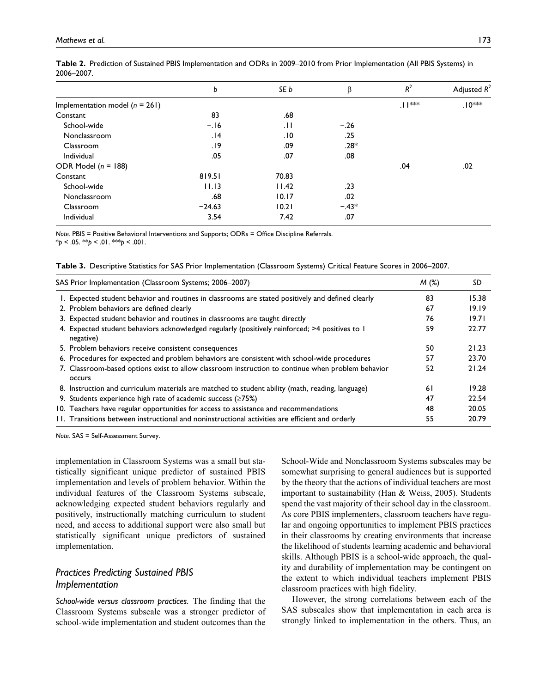|                                    | b        | SE b  | β       | $R^2$    | Adjusted $R^2$ |
|------------------------------------|----------|-------|---------|----------|----------------|
| Implementation model ( $n = 261$ ) |          |       |         | $.  $ ** | $.10***$       |
| Constant                           | 83       | .68   |         |          |                |
| School-wide                        | $-.16$   | .11   | $-.26$  |          |                |
| Nonclassroom                       | .14      | .10   | .25     |          |                |
| Classroom                          | 19.      | .09   | $.28*$  |          |                |
| Individual                         | .05      | .07   | .08     |          |                |
| ODR Model $(n = 188)$              |          |       |         | .04      | .02            |
| Constant                           | 819.51   | 70.83 |         |          |                |
| School-wide                        | 11.13    | 11.42 | .23     |          |                |
| Nonclassroom                       | .68      | 10.17 | .02     |          |                |
| Classroom                          | $-24.63$ | 10.21 | $-.43*$ |          |                |
| Individual                         | 3.54     | 7.42  | .07     |          |                |

**Table 2.** Prediction of Sustained PBIS Implementation and ODRs in 2009–2010 from Prior Implementation (All PBIS Systems) in 2006–2007.

*Note.* PBIS = Positive Behavioral Interventions and Supports; ODRs = Office Discipline Referrals. \**p* < .05. \*\**p* < .01. \*\*\**p* < .001.

| SAS Prior Implementation (Classroom Systems; 2006–2007)                                                     | $M(\%)$ | SD    |
|-------------------------------------------------------------------------------------------------------------|---------|-------|
| 1. Expected student behavior and routines in classrooms are stated positively and defined clearly           | 83      | 15.38 |
| 2. Problem behaviors are defined clearly                                                                    | 67      | 19.19 |
| 3. Expected student behavior and routines in classrooms are taught directly                                 | 76      | 19.71 |
| 4. Expected student behaviors acknowledged regularly (positively reinforced; >4 positives to 1<br>negative) | 59      | 22.77 |
| 5. Problem behaviors receive consistent consequences                                                        | 50      | 21.23 |
| 6. Procedures for expected and problem behaviors are consistent with school-wide procedures                 | 57      | 23.70 |
| 7. Classroom-based options exist to allow classroom instruction to continue when problem behavior<br>occurs | 52      | 21.24 |
| 8. Instruction and curriculum materials are matched to student ability (math, reading, language)            | 61      | 19.28 |
| 9. Students experience high rate of academic success ( $\geq$ 75%)                                          | 47      | 22.54 |
| 10. Teachers have regular opportunities for access to assistance and recommendations                        | 48      | 20.05 |
| 11. Transitions between instructional and noninstructional activities are efficient and orderly             | 55      | 20.79 |

*Note.* SAS = Self-Assessment Survey.

implementation in Classroom Systems was a small but statistically significant unique predictor of sustained PBIS implementation and levels of problem behavior. Within the individual features of the Classroom Systems subscale, acknowledging expected student behaviors regularly and positively, instructionally matching curriculum to student need, and access to additional support were also small but statistically significant unique predictors of sustained implementation.

## *Practices Predicting Sustained PBIS Implementation*

*School-wide versus classroom practices.* The finding that the Classroom Systems subscale was a stronger predictor of school-wide implementation and student outcomes than the School-Wide and Nonclassroom Systems subscales may be somewhat surprising to general audiences but is supported by the theory that the actions of individual teachers are most important to sustainability (Han & Weiss, 2005). Students spend the vast majority of their school day in the classroom. As core PBIS implementers, classroom teachers have regular and ongoing opportunities to implement PBIS practices in their classrooms by creating environments that increase the likelihood of students learning academic and behavioral skills. Although PBIS is a school-wide approach, the quality and durability of implementation may be contingent on the extent to which individual teachers implement PBIS classroom practices with high fidelity.

However, the strong correlations between each of the SAS subscales show that implementation in each area is strongly linked to implementation in the others. Thus, an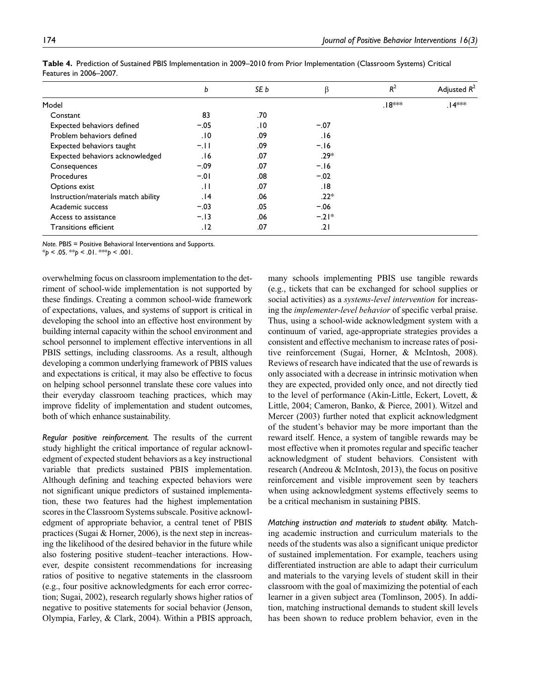|                                     | b      | SE b | β       | $R^2$              | Adjusted $R^2$     |
|-------------------------------------|--------|------|---------|--------------------|--------------------|
| Model                               |        |      |         | .18 <sup>***</sup> | .14 <sup>***</sup> |
| Constant                            | 83     | .70  |         |                    |                    |
| Expected behaviors defined          | $-.05$ | ۱٥.  | $-.07$  |                    |                    |
| Problem behaviors defined           | ١٥.    | .09  | 16.     |                    |                    |
| Expected behaviors taught           | $-.11$ | .09  | $-.16$  |                    |                    |
| Expected behaviors acknowledged     | 16.    | .07  | $.29*$  |                    |                    |
| Consequences                        | $-.09$ | .07  | $-.16$  |                    |                    |
| Procedures                          | $-.01$ | .08  | $-.02$  |                    |                    |
| Options exist                       | .H     | .07  | .18     |                    |                    |
| Instruction/materials match ability | 14.    | .06  | $.22*$  |                    |                    |
| Academic success                    | $-.03$ | .05  | $-.06$  |                    |                    |
| Access to assistance                | $-.13$ | .06  | $-.21*$ |                    |                    |
| <b>Transitions efficient</b>        | .12    | .07  | .21     |                    |                    |

| Table 4. Prediction of Sustained PBIS Implementation in 2009-2010 from Prior Implementation (Classroom Systems) Critical |  |  |  |
|--------------------------------------------------------------------------------------------------------------------------|--|--|--|
| Features in 2006–2007.                                                                                                   |  |  |  |

*Note.* PBIS = Positive Behavioral Interventions and Supports.

 $*_{p}$  < .05.  $*_{p}$  < .01.  $*_{p}$  < .001.

overwhelming focus on classroom implementation to the detriment of school-wide implementation is not supported by these findings. Creating a common school-wide framework of expectations, values, and systems of support is critical in developing the school into an effective host environment by building internal capacity within the school environment and school personnel to implement effective interventions in all PBIS settings, including classrooms. As a result, although developing a common underlying framework of PBIS values and expectations is critical, it may also be effective to focus on helping school personnel translate these core values into their everyday classroom teaching practices, which may improve fidelity of implementation and student outcomes, both of which enhance sustainability.

*Regular positive reinforcement.* The results of the current study highlight the critical importance of regular acknowledgment of expected student behaviors as a key instructional variable that predicts sustained PBIS implementation. Although defining and teaching expected behaviors were not significant unique predictors of sustained implementation, these two features had the highest implementation scores in the Classroom Systems subscale. Positive acknowledgment of appropriate behavior, a central tenet of PBIS practices (Sugai & Horner, 2006), is the next step in increasing the likelihood of the desired behavior in the future while also fostering positive student–teacher interactions. However, despite consistent recommendations for increasing ratios of positive to negative statements in the classroom (e.g., four positive acknowledgments for each error correction; Sugai, 2002), research regularly shows higher ratios of negative to positive statements for social behavior (Jenson, Olympia, Farley, & Clark, 2004). Within a PBIS approach,

many schools implementing PBIS use tangible rewards (e.g., tickets that can be exchanged for school supplies or social activities) as a *systems-level intervention* for increasing the *implementer-level behavior* of specific verbal praise. Thus, using a school-wide acknowledgment system with a continuum of varied, age-appropriate strategies provides a consistent and effective mechanism to increase rates of positive reinforcement (Sugai, Horner, & McIntosh, 2008). Reviews of research have indicated that the use of rewards is only associated with a decrease in intrinsic motivation when they are expected, provided only once, and not directly tied to the level of performance (Akin-Little, Eckert, Lovett, & Little, 2004; Cameron, Banko, & Pierce, 2001). Witzel and Mercer (2003) further noted that explicit acknowledgment of the student's behavior may be more important than the reward itself. Hence, a system of tangible rewards may be most effective when it promotes regular and specific teacher acknowledgment of student behaviors. Consistent with research (Andreou & McIntosh, 2013), the focus on positive reinforcement and visible improvement seen by teachers when using acknowledgment systems effectively seems to be a critical mechanism in sustaining PBIS.

*Matching instruction and materials to student ability.* Matching academic instruction and curriculum materials to the needs of the students was also a significant unique predictor of sustained implementation. For example, teachers using differentiated instruction are able to adapt their curriculum and materials to the varying levels of student skill in their classroom with the goal of maximizing the potential of each learner in a given subject area (Tomlinson, 2005). In addition, matching instructional demands to student skill levels has been shown to reduce problem behavior, even in the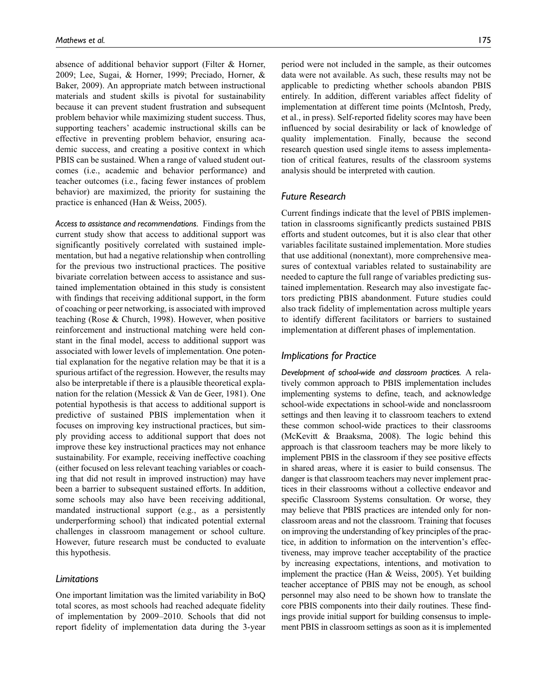absence of additional behavior support (Filter & Horner, 2009; Lee, Sugai, & Horner, 1999; Preciado, Horner, & Baker, 2009). An appropriate match between instructional materials and student skills is pivotal for sustainability because it can prevent student frustration and subsequent problem behavior while maximizing student success. Thus, supporting teachers' academic instructional skills can be effective in preventing problem behavior, ensuring academic success, and creating a positive context in which PBIS can be sustained. When a range of valued student outcomes (i.e., academic and behavior performance) and teacher outcomes (i.e., facing fewer instances of problem behavior) are maximized, the priority for sustaining the practice is enhanced (Han & Weiss, 2005).

*Access to assistance and recommendations.* Findings from the current study show that access to additional support was significantly positively correlated with sustained implementation, but had a negative relationship when controlling for the previous two instructional practices. The positive bivariate correlation between access to assistance and sustained implementation obtained in this study is consistent with findings that receiving additional support, in the form of coaching or peer networking, is associated with improved teaching (Rose & Church, 1998). However, when positive reinforcement and instructional matching were held constant in the final model, access to additional support was associated with lower levels of implementation. One potential explanation for the negative relation may be that it is a spurious artifact of the regression. However, the results may also be interpretable if there is a plausible theoretical explanation for the relation (Messick & Van de Geer, 1981). One potential hypothesis is that access to additional support is predictive of sustained PBIS implementation when it focuses on improving key instructional practices, but simply providing access to additional support that does not improve these key instructional practices may not enhance sustainability. For example, receiving ineffective coaching (either focused on less relevant teaching variables or coaching that did not result in improved instruction) may have been a barrier to subsequent sustained efforts. In addition, some schools may also have been receiving additional, mandated instructional support (e.g., as a persistently underperforming school) that indicated potential external challenges in classroom management or school culture. However, future research must be conducted to evaluate this hypothesis.

#### *Limitations*

One important limitation was the limited variability in BoQ total scores, as most schools had reached adequate fidelity of implementation by 2009–2010. Schools that did not report fidelity of implementation data during the 3-year

period were not included in the sample, as their outcomes data were not available. As such, these results may not be applicable to predicting whether schools abandon PBIS entirely. In addition, different variables affect fidelity of implementation at different time points (McIntosh, Predy, et al., in press). Self-reported fidelity scores may have been influenced by social desirability or lack of knowledge of quality implementation. Finally, because the second research question used single items to assess implementation of critical features, results of the classroom systems analysis should be interpreted with caution.

#### *Future Research*

Current findings indicate that the level of PBIS implementation in classrooms significantly predicts sustained PBIS efforts and student outcomes, but it is also clear that other variables facilitate sustained implementation. More studies that use additional (nonextant), more comprehensive measures of contextual variables related to sustainability are needed to capture the full range of variables predicting sustained implementation. Research may also investigate factors predicting PBIS abandonment. Future studies could also track fidelity of implementation across multiple years to identify different facilitators or barriers to sustained implementation at different phases of implementation.

#### *Implications for Practice*

*Development of school-wide and classroom practices.* A relatively common approach to PBIS implementation includes implementing systems to define, teach, and acknowledge school-wide expectations in school-wide and nonclassroom settings and then leaving it to classroom teachers to extend these common school-wide practices to their classrooms (McKevitt & Braaksma, 2008). The logic behind this approach is that classroom teachers may be more likely to implement PBIS in the classroom if they see positive effects in shared areas, where it is easier to build consensus. The danger is that classroom teachers may never implement practices in their classrooms without a collective endeavor and specific Classroom Systems consultation. Or worse, they may believe that PBIS practices are intended only for nonclassroom areas and not the classroom. Training that focuses on improving the understanding of key principles of the practice, in addition to information on the intervention's effectiveness, may improve teacher acceptability of the practice by increasing expectations, intentions, and motivation to implement the practice (Han & Weiss, 2005). Yet building teacher acceptance of PBIS may not be enough, as school personnel may also need to be shown how to translate the core PBIS components into their daily routines. These findings provide initial support for building consensus to implement PBIS in classroom settings as soon as it is implemented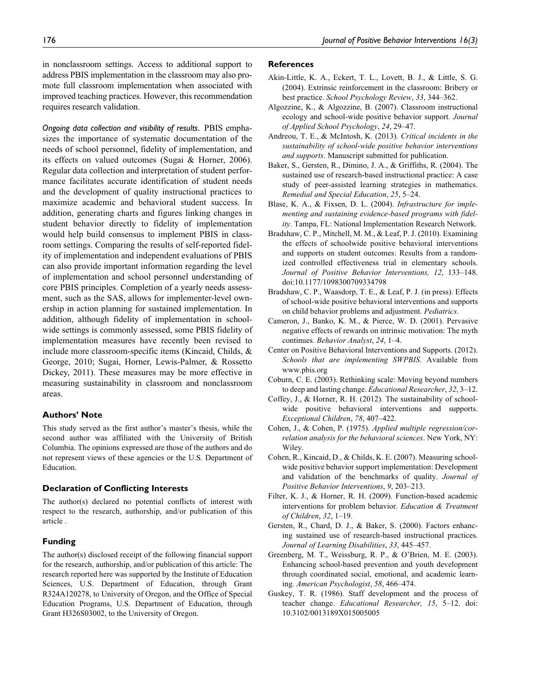in nonclassroom settings. Access to additional support to address PBIS implementation in the classroom may also promote full classroom implementation when associated with improved teaching practices. However, this recommendation requires research validation.

*Ongoing data collection and visibility of results.* PBIS emphasizes the importance of systematic documentation of the needs of school personnel, fidelity of implementation, and its effects on valued outcomes (Sugai & Horner, 2006). Regular data collection and interpretation of student performance facilitates accurate identification of student needs and the development of quality instructional practices to maximize academic and behavioral student success. In addition, generating charts and figures linking changes in student behavior directly to fidelity of implementation would help build consensus to implement PBIS in classroom settings. Comparing the results of self-reported fidelity of implementation and independent evaluations of PBIS can also provide important information regarding the level of implementation and school personnel understanding of core PBIS principles. Completion of a yearly needs assessment, such as the SAS, allows for implementer-level ownership in action planning for sustained implementation. In addition, although fidelity of implementation in schoolwide settings is commonly assessed, some PBIS fidelity of implementation measures have recently been revised to include more classroom-specific items (Kincaid, Childs, & George, 2010; Sugai, Horner, Lewis-Palmer, & Rossetto Dickey, 2011). These measures may be more effective in measuring sustainability in classroom and nonclassroom areas.

#### **Authors' Note**

This study served as the first author's master's thesis, while the second author was affiliated with the University of British Columbia. The opinions expressed are those of the authors and do not represent views of these agencies or the U.S. Department of Education.

#### **Declaration of Conflicting Interests**

The author(s) declared no potential conflicts of interest with respect to the research, authorship, and/or publication of this article .

#### **Funding**

The author(s) disclosed receipt of the following financial support for the research, authorship, and/or publication of this article: The research reported here was supported by the Institute of Education Sciences, U.S. Department of Education, through Grant R324A120278, to University of Oregon, and the Office of Special Education Programs, U.S. Department of Education, through Grant H326S03002, to the University of Oregon.

#### **References**

- Akin-Little, K. A., Eckert, T. L., Lovett, B. J., & Little, S. G. (2004). Extrinsic reinforcement in the classroom: Bribery or best practice. *School Psychology Review*, *33*, 344–362.
- Algozzine, K., & Algozzine, B. (2007). Classroom instructional ecology and school-wide positive behavior support. *Journal of Applied School Psychology*, *24*, 29–47.
- Andreou, T. E., & McIntosh, K. (2013). *Critical incidents in the sustainability of school-wide positive behavior interventions and supports*. Manuscript submitted for publication.
- Baker, S., Gersten, R., Dimino, J. A., & Griffiths, R. (2004). The sustained use of research-based instructional practice: A case study of peer-assisted learning strategies in mathematics. *Remedial and Special Education*, *25*, 5–24.
- Blase, K. A., & Fixsen, D. L. (2004). *Infrastructure for implementing and sustaining evidence-based programs with fidelity*. Tampa, FL: National Implementation Research Network.
- Bradshaw, C. P., Mitchell, M. M., & Leaf, P. J. (2010). Examining the effects of schoolwide positive behavioral interventions and supports on student outcomes: Results from a randomized controlled effectiveness trial in elementary schools. *Journal of Positive Behavior Interventions, 12*, 133–148. doi:10.1177/1098300709334798
- Bradshaw, C. P., Waasdorp, T. E., & Leaf, P. J. (in press). Effects of school-wide positive behavioral interventions and supports on child behavior problems and adjustment. *Pediatrics*.
- Cameron, J., Banko, K. M., & Pierce, W. D. (2001). Pervasive negative effects of rewards on intrinsic motivation: The myth continues. *Behavior Analyst*, *24*, 1–4.
- Center on Positive Behavioral Interventions and Supports. (2012). *Schools that are implementing SWPBIS*. Available from www.pbis.org
- Coburn, C. E. (2003). Rethinking scale: Moving beyond numbers to deep and lasting change. *Educational Researcher*, *32*, 3–12.
- Coffey, J., & Horner, R. H. (2012). The sustainability of schoolwide positive behavioral interventions and supports. *Exceptional Children*, *78*, 407–422.
- Cohen, J., & Cohen, P. (1975). *Applied multiple regression/correlation analysis for the behavioral sciences*. New York, NY: Wiley.
- Cohen, R., Kincaid, D., & Childs, K. E. (2007). Measuring schoolwide positive behavior support implementation: Development and validation of the benchmarks of quality. *Journal of Positive Behavior Interventions*, *9*, 203–213.
- Filter, K. J., & Horner, R. H. (2009). Function-based academic interventions for problem behavior. *Education & Treatment of Children*, *32*, 1–19.
- Gersten, R., Chard, D. J., & Baker, S. (2000). Factors enhancing sustained use of research-based instructional practices. *Journal of Learning Disabilities*, *33*, 445–457.
- Greenberg, M. T., Weissburg, R. P., & O'Brien, M. E. (2003). Enhancing school-based prevention and youth development through coordinated social, emotional, and academic learning. *American Psychologist*, *58*, 466–474.
- Guskey, T. R. (1986). Staff development and the process of teacher change. *Educational Researcher, 15*, 5–12. doi: 10.3102/0013189X015005005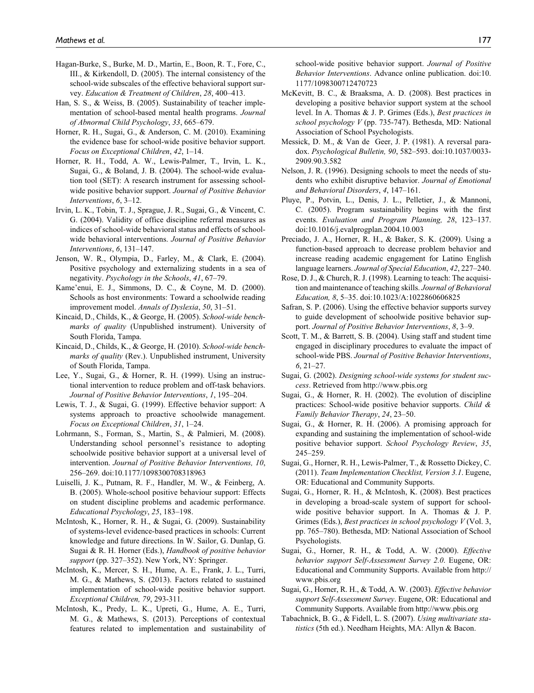- Hagan-Burke, S., Burke, M. D., Martin, E., Boon, R. T., Fore, C., III., & Kirkendoll, D. (2005). The internal consistency of the school-wide subscales of the effective behavioral support survey. *Education & Treatment of Children*, *28*, 400–413.
- Han, S. S., & Weiss, B. (2005). Sustainability of teacher implementation of school-based mental health programs. *Journal of Abnormal Child Psychology*, *33*, 665–679.
- Horner, R. H., Sugai, G., & Anderson, C. M. (2010). Examining the evidence base for school-wide positive behavior support. *Focus on Exceptional Children*, *42*, 1–14.
- Horner, R. H., Todd, A. W., Lewis-Palmer, T., Irvin, L. K., Sugai, G., & Boland, J. B. (2004). The school-wide evaluation tool (SET): A research instrument for assessing schoolwide positive behavior support. *Journal of Positive Behavior Interventions*, *6*, 3–12.
- Irvin, L. K., Tobin, T. J., Sprague, J. R., Sugai, G., & Vincent, C. G. (2004). Validity of office discipline referral measures as indices of school-wide behavioral status and effects of schoolwide behavioral interventions. *Journal of Positive Behavior Interventions*, *6*, 131–147.
- Jenson, W. R., Olympia, D., Farley, M., & Clark, E. (2004). Positive psychology and externalizing students in a sea of negativity. *Psychology in the Schools*, *41*, 67–79.
- Kame'enui, E. J., Simmons, D. C., & Coyne, M. D. (2000). Schools as host environments: Toward a schoolwide reading improvement model. *Annals of Dyslexia*, *50*, 31–51.
- Kincaid, D., Childs, K., & George, H. (2005). *School-wide benchmarks of quality* (Unpublished instrument). University of South Florida, Tampa.
- Kincaid, D., Childs, K., & George, H. (2010). *School-wide benchmarks of quality* (Rev.). Unpublished instrument, University of South Florida, Tampa.
- Lee, Y., Sugai, G., & Horner, R. H. (1999). Using an instructional intervention to reduce problem and off-task behaviors. *Journal of Positive Behavior Interventions*, *1*, 195–204.
- Lewis, T. J., & Sugai, G. (1999). Effective behavior support: A systems approach to proactive schoolwide management. *Focus on Exceptional Children*, *31*, 1–24.
- Lohrmann, S., Forman, S., Martin, S., & Palmieri, M. (2008). Understanding school personnel's resistance to adopting schoolwide positive behavior support at a universal level of intervention. *Journal of Positive Behavior Interventions, 10*, 256–269. doi:10.1177/1098300708318963
- Luiselli, J. K., Putnam, R. F., Handler, M. W., & Feinberg, A. B. (2005). Whole-school positive behaviour support: Effects on student discipline problems and academic performance. *Educational Psychology*, *25*, 183–198.
- McIntosh, K., Horner, R. H., & Sugai, G. (2009). Sustainability of systems-level evidence-based practices in schools: Current knowledge and future directions. In W. Sailor, G. Dunlap, G. Sugai & R. H. Horner (Eds.), *Handbook of positive behavior support* (pp. 327–352). New York, NY: Springer.
- McIntosh, K., Mercer, S. H., Hume, A. E., Frank, J. L., Turri, M. G., & Mathews, S. (2013). Factors related to sustained implementation of school-wide positive behavior support. *Exceptional Children, 79*, 293-311.
- McIntosh, K., Predy, L. K., Upreti, G., Hume, A. E., Turri, M. G., & Mathews, S. (2013). Perceptions of contextual features related to implementation and sustainability of

school-wide positive behavior support. *Journal of Positive Behavior Interventions*. Advance online publication. doi:10. 1177/1098300712470723

- McKevitt, B. C., & Braaksma, A. D. (2008). Best practices in developing a positive behavior support system at the school level. In A. Thomas & J. P. Grimes (Eds.), *Best practices in school psychology V* (pp. 735-747). Bethesda, MD: National Association of School Psychologists.
- Messick, D. M., & Van de Geer, J. P. (1981). A reversal paradox. *Psychological Bulletin, 90*, 582–593. doi:10.1037/0033- 2909.90.3.582
- Nelson, J. R. (1996). Designing schools to meet the needs of students who exhibit disruptive behavior. *Journal of Emotional and Behavioral Disorders*, *4*, 147–161.
- Pluye, P., Potvin, L., Denis, J. L., Pelletier, J., & Mannoni, C. (2005). Program sustainability begins with the first events. *Evaluation and Program Planning, 28*, 123–137. doi:10.1016/j.evalprogplan.2004.10.003
- Preciado, J. A., Horner, R. H., & Baker, S. K. (2009). Using a function-based approach to decrease problem behavior and increase reading academic engagement for Latino English language learners. *Journal of Special Education*, *42*, 227–240.
- Rose, D. J., & Church, R. J. (1998). Learning to teach: The acquisition and maintenance of teaching skills. *Journal of Behavioral Education, 8*, 5–35. doi:10.1023/A:1022860606825
- Safran, S. P. (2006). Using the effective behavior supports survey to guide development of schoolwide positive behavior support. *Journal of Positive Behavior Interventions*, *8*, 3–9.
- Scott, T. M., & Barrett, S. B. (2004). Using staff and student time engaged in disciplinary procedures to evaluate the impact of school-wide PBS. *Journal of Positive Behavior Interventions*, *6*, 21–27.
- Sugai, G. (2002). *Designing school-wide systems for student success*. Retrieved from http://www.pbis.org
- Sugai, G., & Horner, R. H. (2002). The evolution of discipline practices: School-wide positive behavior supports. *Child & Family Behavior Therapy*, *24*, 23–50.
- Sugai, G., & Horner, R. H. (2006). A promising approach for expanding and sustaining the implementation of school-wide positive behavior support. *School Psychology Review*, *35*, 245–259.
- Sugai, G., Horner, R. H., Lewis-Palmer, T., & Rossetto Dickey, C. (2011). *Team Implementation Checklist, Version 3.1*. Eugene, OR: Educational and Community Supports.
- Sugai, G., Horner, R. H., & McIntosh, K. (2008). Best practices in developing a broad-scale system of support for schoolwide positive behavior support. In A. Thomas & J. P. Grimes (Eds.), *Best practices in school psychology V* (Vol. 3, pp. 765–780). Bethesda, MD: National Association of School Psychologists.
- Sugai, G., Horner, R. H., & Todd, A. W. (2000). *Effective behavior support Self-Assessment Survey 2.0*. Eugene, OR: Educational and Community Supports. Available from http:// www.pbis.org
- Sugai, G., Horner, R. H., & Todd, A. W. (2003). *Effective behavior support Self-Assessment Survey*. Eugene, OR: Educational and Community Supports. Available from http://www.pbis.org
- Tabachnick, B. G., & Fidell, L. S. (2007). *Using multivariate statistics* (5th ed.). Needham Heights, MA: Allyn & Bacon.